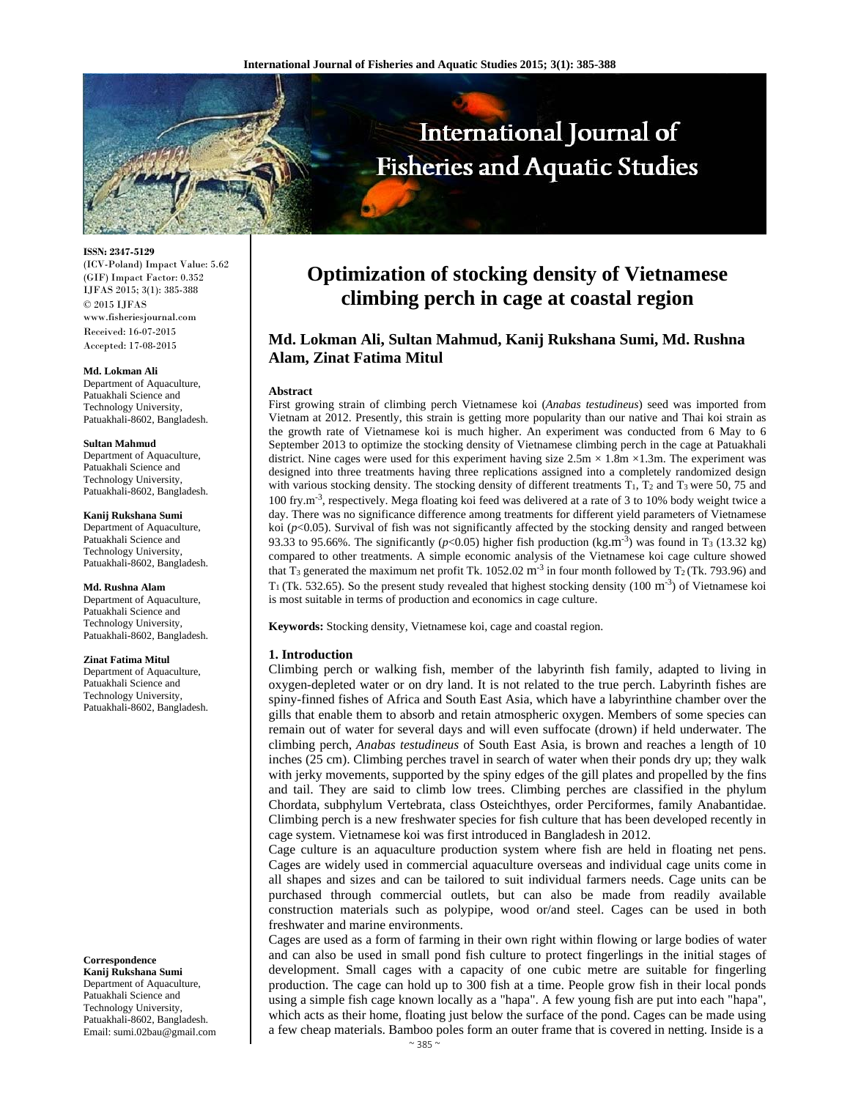

**ISSN: 2347-5129**  (ICV-Poland) Impact Value: 5.62 (GIF) Impact Factor: 0.352 IJFAS 2015; 3(1): 385-388 © 2015 IJFAS www.fisheriesjournal.com Received: 16-07-2015 Accepted: 17-08-2015

#### **Md. Lokman Ali**

Department of Aquaculture, Patuakhali Science and Technology University, Patuakhali-8602, Bangladesh.

#### **Sultan Mahmud**

Department of Aquaculture, Patuakhali Science and Technology University, Patuakhali-8602, Bangladesh.

#### **Kanij Rukshana Sumi**

Department of Aquaculture, Patuakhali Science and Technology University, Patuakhali-8602, Bangladesh.

**Md. Rushna Alam**  Department of Aquaculture, Patuakhali Science and Technology University, Patuakhali-8602, Bangladesh.

#### **Zinat Fatima Mitul**

Department of Aquaculture, Patuakhali Science and Technology University, Patuakhali-8602, Bangladesh.

#### **Correspondence**

**Kanij Rukshana Sumi**  Department of Aquaculture, Patuakhali Science and Technology University, Patuakhali-8602, Bangladesh. Email: sumi.02bau@gmail.com

# **Optimization of stocking density of Vietnamese climbing perch in cage at coastal region**

## **Md. Lokman Ali, Sultan Mahmud, Kanij Rukshana Sumi, Md. Rushna Alam, Zinat Fatima Mitul**

#### **Abstract**

First growing strain of climbing perch Vietnamese koi (*Anabas testudineus*) seed was imported from Vietnam at 2012. Presently, this strain is getting more popularity than our native and Thai koi strain as the growth rate of Vietnamese koi is much higher. An experiment was conducted from 6 May to 6 September 2013 to optimize the stocking density of Vietnamese climbing perch in the cage at Patuakhali district. Nine cages were used for this experiment having size  $2.5 \text{m} \times 1.8 \text{m} \times 1.3 \text{m}$ . The experiment was designed into three treatments having three replications assigned into a completely randomized design with various stocking density. The stocking density of different treatments  $T_1$ ,  $T_2$  and  $T_3$  were 50, 75 and 100 fry.m-3, respectively. Mega floating koi feed was delivered at a rate of 3 to 10% body weight twice a day. There was no significance difference among treatments for different yield parameters of Vietnamese koi ( $p$ <0.05). Survival of fish was not significantly affected by the stocking density and ranged between 93.33 to 95.66%. The significantly ( $p$ <0.05) higher fish production (kg.m<sup>-3</sup>) was found in T<sub>3</sub> (13.32 kg) compared to other treatments. A simple economic analysis of the Vietnamese koi cage culture showed that T<sub>3</sub> generated the maximum net profit Tk. 1052.02 m<sup>-3</sup> in four month followed by T<sub>2</sub> (Tk. 793.96) and  $T_1$  (Tk. 532.65). So the present study revealed that highest stocking density (100 m<sup>-3</sup>) of Vietnamese koi is most suitable in terms of production and economics in cage culture.

**Keywords:** Stocking density, Vietnamese koi, cage and coastal region.

## **1. Introduction**

Climbing perch or walking fish, member of the labyrinth fish family, adapted to living in oxygen-depleted water or on dry land. It is not related to the true perch. Labyrinth fishes are spiny-finned fishes of Africa and South East Asia, which have a labyrinthine chamber over the gills that enable them to absorb and retain atmospheric oxygen. Members of some species can remain out of water for several days and will even suffocate (drown) if held underwater. The climbing perch, *Anabas testudineus* of South East Asia, is brown and reaches a length of 10 inches (25 cm). Climbing perches travel in search of water when their ponds dry up; they walk with jerky movements, supported by the spiny edges of the gill plates and propelled by the fins and tail. They are said to climb low trees. Climbing perches are classified in the phylum Chordata, subphylum Vertebrata, class Osteichthyes, order Perciformes, family Anabantidae. Climbing perch is a new freshwater species for fish culture that has been developed recently in cage system. Vietnamese koi was first introduced in Bangladesh in 2012.

Cage culture is an aquaculture production system where fish are held in floating net pens. Cages are widely used in commercial aquaculture overseas and individual cage units come in all shapes and sizes and can be tailored to suit individual farmers needs. Cage units can be purchased through commercial outlets, but can also be made from readily available construction materials such as polypipe, wood or/and steel. Cages can be used in both freshwater and marine environments.

Cages are used as a form of farming in their own right within flowing or large bodies of water and can also be used in small pond fish culture to protect fingerlings in the initial stages of development. Small cages with a capacity of one cubic metre are suitable for fingerling production. The cage can hold up to 300 fish at a time. People grow fish in their local ponds using a simple fish cage known locally as a "hapa". A few young fish are put into each "hapa", which acts as their home, floating just below the surface of the pond. Cages can be made using a few cheap materials. Bamboo poles form an outer frame that is covered in netting. Inside is a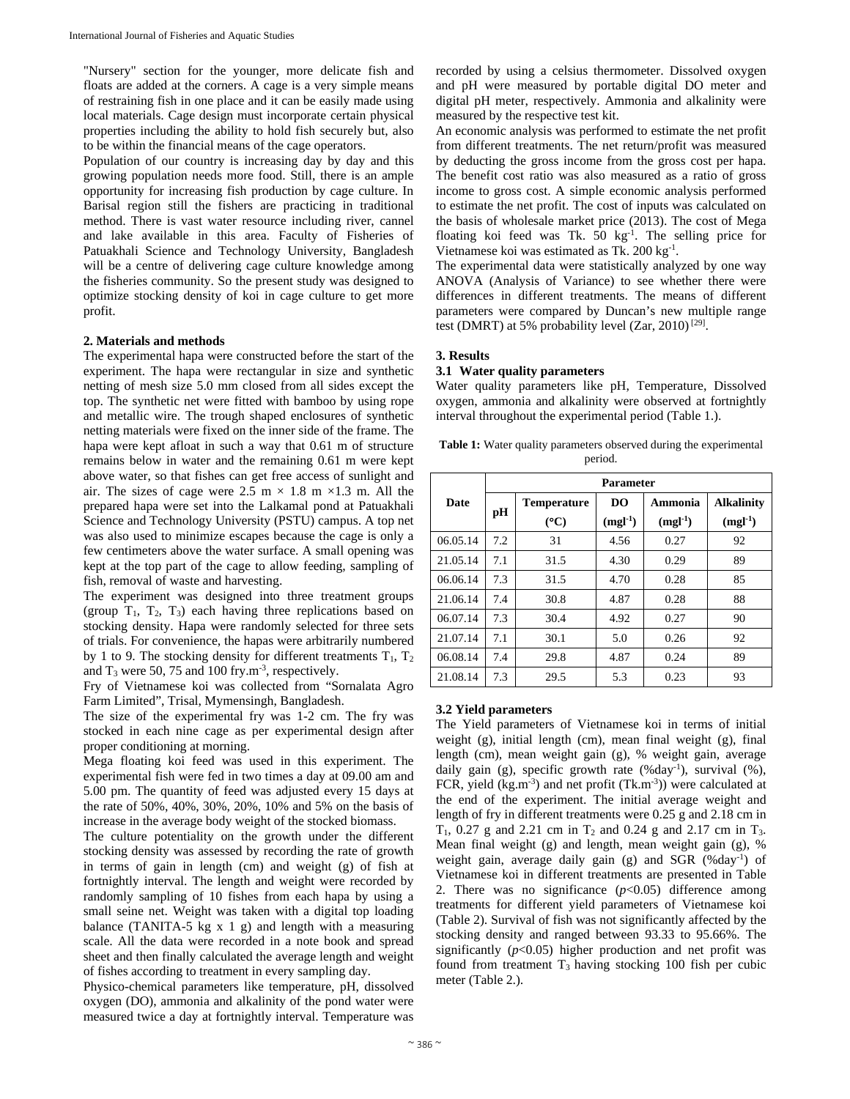"Nursery" section for the younger, more delicate fish and floats are added at the corners. A cage is a very simple means of restraining fish in one place and it can be easily made using local materials. Cage design must incorporate certain physical properties including the ability to hold fish securely but, also to be within the financial means of the cage operators.

Population of our country is increasing day by day and this growing population needs more food. Still, there is an ample opportunity for increasing fish production by cage culture. In Barisal region still the fishers are practicing in traditional method. There is vast water resource including river, cannel and lake available in this area. Faculty of Fisheries of Patuakhali Science and Technology University, Bangladesh will be a centre of delivering cage culture knowledge among the fisheries community. So the present study was designed to optimize stocking density of koi in cage culture to get more profit.

## **2. Materials and methods**

The experimental hapa were constructed before the start of the experiment. The hapa were rectangular in size and synthetic netting of mesh size 5.0 mm closed from all sides except the top. The synthetic net were fitted with bamboo by using rope and metallic wire. The trough shaped enclosures of synthetic netting materials were fixed on the inner side of the frame. The hapa were kept afloat in such a way that 0.61 m of structure remains below in water and the remaining 0.61 m were kept above water, so that fishes can get free access of sunlight and air. The sizes of cage were 2.5 m  $\times$  1.8 m  $\times$ 1.3 m. All the prepared hapa were set into the Lalkamal pond at Patuakhali Science and Technology University (PSTU) campus. A top net was also used to minimize escapes because the cage is only a few centimeters above the water surface. A small opening was kept at the top part of the cage to allow feeding, sampling of fish, removal of waste and harvesting.

The experiment was designed into three treatment groups (group  $T_1$ ,  $T_2$ ,  $T_3$ ) each having three replications based on stocking density. Hapa were randomly selected for three sets of trials. For convenience, the hapas were arbitrarily numbered by 1 to 9. The stocking density for different treatments  $T_1$ ,  $T_2$ and  $T_3$  were 50, 75 and 100 fry.m<sup>-3</sup>, respectively.

Fry of Vietnamese koi was collected from "Sornalata Agro Farm Limited", Trisal, Mymensingh, Bangladesh.

The size of the experimental fry was 1-2 cm. The fry was stocked in each nine cage as per experimental design after proper conditioning at morning.

Mega floating koi feed was used in this experiment. The experimental fish were fed in two times a day at 09.00 am and 5.00 pm. The quantity of feed was adjusted every 15 days at the rate of 50%, 40%, 30%, 20%, 10% and 5% on the basis of increase in the average body weight of the stocked biomass.

The culture potentiality on the growth under the different stocking density was assessed by recording the rate of growth in terms of gain in length (cm) and weight (g) of fish at fortnightly interval. The length and weight were recorded by randomly sampling of 10 fishes from each hapa by using a small seine net. Weight was taken with a digital top loading balance (TANITA-5 kg  $x$  1 g) and length with a measuring scale. All the data were recorded in a note book and spread sheet and then finally calculated the average length and weight of fishes according to treatment in every sampling day.

Physico-chemical parameters like temperature, pH, dissolved oxygen (DO), ammonia and alkalinity of the pond water were measured twice a day at fortnightly interval. Temperature was

recorded by using a celsius thermometer. Dissolved oxygen and pH were measured by portable digital DO meter and digital pH meter, respectively. Ammonia and alkalinity were measured by the respective test kit.

An economic analysis was performed to estimate the net profit from different treatments. The net return/profit was measured by deducting the gross income from the gross cost per hapa. The benefit cost ratio was also measured as a ratio of gross income to gross cost. A simple economic analysis performed to estimate the net profit. The cost of inputs was calculated on the basis of wholesale market price (2013). The cost of Mega floating koi feed was Tk. 50 kg<sup>-1</sup>. The selling price for Vietnamese koi was estimated as Tk. 200 kg $^{-1}$ .

The experimental data were statistically analyzed by one way ANOVA (Analysis of Variance) to see whether there were differences in different treatments. The means of different parameters were compared by Duncan's new multiple range test (DMRT) at 5% probability level (Zar, 2010)<sup>[29]</sup>.

## **3. Results**

#### **3.1 Water quality parameters**

Water quality parameters like pH, Temperature, Dissolved oxygen, ammonia and alkalinity were observed at fortnightly interval throughout the experimental period (Table 1.).

Table 1: Water quality parameters observed during the experimental period.

|             | <b>Parameter</b> |                    |                |           |                   |  |
|-------------|------------------|--------------------|----------------|-----------|-------------------|--|
| <b>Date</b> | рH               | <b>Temperature</b> | D <sub>O</sub> | Ammonia   | <b>Alkalinity</b> |  |
|             |                  | $(C^{\circ}C)$     | $(mgl-1)$      | $(mgl-1)$ | $(mgl-1)$         |  |
| 06.05.14    | 7.2              | 31                 | 4.56           | 0.27      | 92                |  |
| 21.05.14    | 7.1              | 31.5               | 4.30           | 0.29      | 89                |  |
| 06.06.14    | 7.3              | 31.5               | 4.70           | 0.28      | 85                |  |
| 21.06.14    | 7.4              | 30.8               | 4.87           | 0.28      | 88                |  |
| 06.07.14    | 7.3              | 30.4               | 4.92           | 0.27      | 90                |  |
| 21.07.14    | 7.1              | 30.1               | 5.0            | 0.26      | 92                |  |
| 06.08.14    | 7.4              | 29.8               | 4.87           | 0.24      | 89                |  |
| 21.08.14    | 7.3              | 29.5               | 5.3            | 0.23      | 93                |  |

#### **3.2 Yield parameters**

The Yield parameters of Vietnamese koi in terms of initial weight (g), initial length (cm), mean final weight (g), final length (cm), mean weight gain (g), % weight gain, average daily gain (g), specific growth rate (%day<sup>-1</sup>), survival (%), FCR, yield (kg.m<sup>-3</sup>) and net profit (Tk.m<sup>-3</sup>)) were calculated at the end of the experiment. The initial average weight and length of fry in different treatments were 0.25 g and 2.18 cm in  $T_1$ , 0.27 g and 2.21 cm in  $T_2$  and 0.24 g and 2.17 cm in  $T_3$ . Mean final weight (g) and length, mean weight gain (g), % weight gain, average daily gain (g) and SGR (%day<sup>-1</sup>) of Vietnamese koi in different treatments are presented in Table 2. There was no significance  $(p<0.05)$  difference among treatments for different yield parameters of Vietnamese koi (Table 2). Survival of fish was not significantly affected by the stocking density and ranged between 93.33 to 95.66%. The significantly  $(p<0.05)$  higher production and net profit was found from treatment  $T_3$  having stocking 100 fish per cubic meter (Table 2.).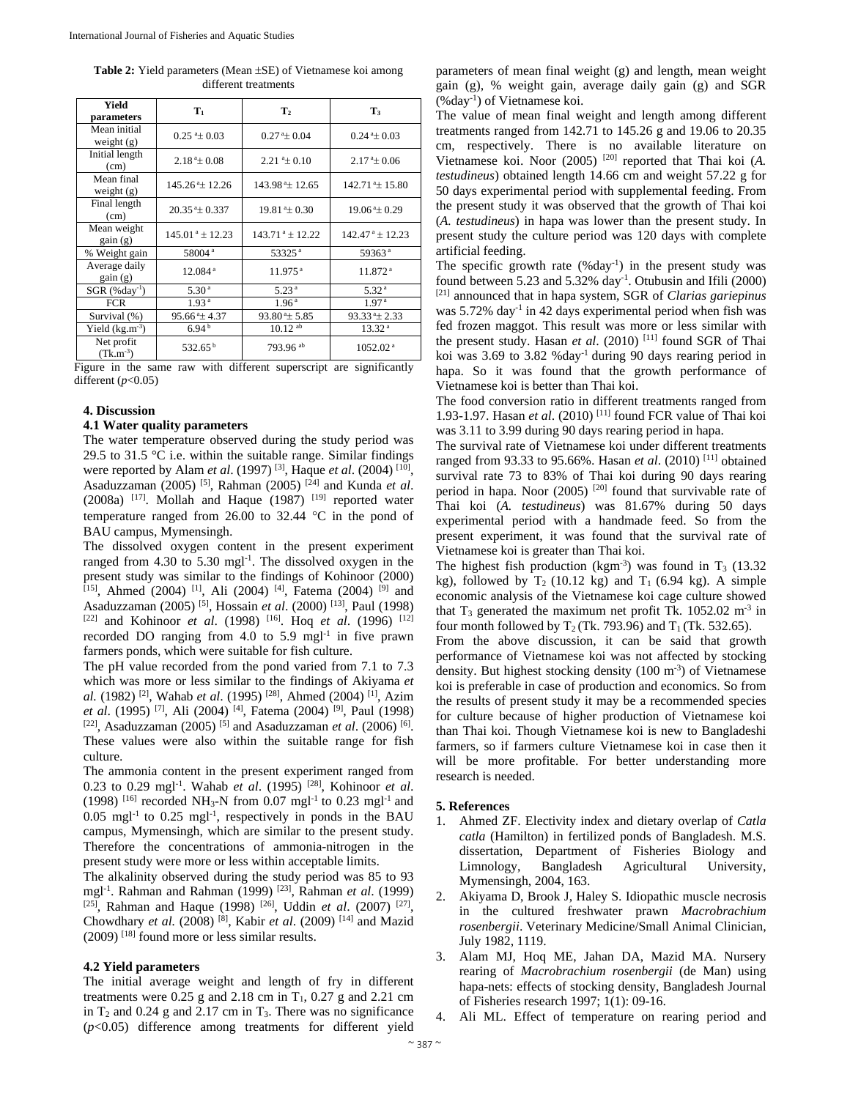| <b>Table 2:</b> Yield parameters (Mean $\pm$ SE) of Vietnamese koi among |
|--------------------------------------------------------------------------|
| different treatments                                                     |

| Yield<br>parameters          | ${\bf T}_1$                    | $\mathbf{T}_2$                 | $\mathbf{T}_3$                 |
|------------------------------|--------------------------------|--------------------------------|--------------------------------|
| Mean initial<br>weight $(g)$ | $0.25^{\text{a}} \pm 0.03$     | $0.27^{\text{a}} \pm 0.04$     | $0.244 \pm 0.03$               |
| Initial length<br>(cm)       | $2.18^{\degree}\pm 0.08$       | $2.21^{\degree}\pm 0.10$       | $2.17^{\degree}\pm 0.06$       |
| Mean final<br>weight $(g)$   | $145.26^{\text{a}} \pm 12.26$  | $143.98^{\text{a}} \pm 12.65$  | $142.71^{\text{a}} \pm 15.80$  |
| Final length<br>(cm)         | $20.35 \pm 0.337$              | $19.81 \pm 0.30$               | $19.06^{\text{a}} \pm 0.29$    |
| Mean weight<br>gain(g)       | $145.01^{\text{ a}} \pm 12.23$ | $143.71^{\text{ a}} \pm 12.22$ | $142.47^{\text{ a}} \pm 12.23$ |
| % Weight gain                | 58004 <sup>a</sup>             | 53325 <sup>a</sup>             | 59363 <sup>a</sup>             |
| Average daily<br>gain(g)     | 12.084 <sup>a</sup>            | $11.975$ <sup>a</sup>          | 11.872 <sup>a</sup>            |
| $SGR$ (%day <sup>-1</sup> )  | 5.30 <sup>a</sup>              | 5.23 <sup>a</sup>              | 5.32 <sup>a</sup>              |
| <b>FCR</b>                   | 1.93 <sup>a</sup>              | 1.96 <sup>a</sup>              | 1.97 <sup>a</sup>              |
| Survival (%)                 | $95.66^{\text{ a}} \pm 4.37$   | $93.80^{\text{ a}}$ ± 5.85     | $93.33^{\circ}$ ± 2.33         |
| Yield $(kg.m^{-3})$          | 6.94 <sup>b</sup>              | $10.12$ ab                     | 13.32 <sup>a</sup>             |
| Net profit<br>$(Tk.m^{-3})$  | $532.65^{\mathrm{b}}$          | 793.96 <sup>ab</sup>           | 1052.02 <sup>a</sup>           |

Figure in the same raw with different superscript are significantly different  $(p<0.05)$ 

## **4. Discussion**

## **4.1 Water quality parameters**

The water temperature observed during the study period was 29.5 to 31.5  $\degree$ C i.e. within the suitable range. Similar findings were reported by Alam *et al*. (1997) [3], Haque *et al*. (2004) [10], Asaduzzaman (2005) [5], Rahman (2005) [24] and Kunda *et al*. (2008a)  $^{[17]}$ . Mollah and Haque (1987)  $^{[19]}$  reported water temperature ranged from 26.00 to 32.44  $^{\circ}$ C in the pond of BAU campus, Mymensingh.

The dissolved oxygen content in the present experiment ranged from  $4.30$  to  $5.30$  mgl<sup>-1</sup>. The dissolved oxygen in the present study was similar to the findings of Kohinoor (2000) [15], Ahmed (2004) <sup>[1]</sup>, Ali (2004) <sup>[4]</sup>, Fatema (2004) <sup>[9]</sup> and Asaduzzaman (2005) [5], Hossain *et al*. (2000) [13], Paul (1998) [22] and Kohinoor *et al*. (1998) [16]. Hoq *et al*. (1996) [12] recorded DO ranging from 4.0 to 5.9 mgl<sup>-1</sup> in five prawn farmers ponds, which were suitable for fish culture.

The pH value recorded from the pond varied from 7.1 to 7.3 which was more or less similar to the findings of Akiyama *et al.* (1982) [2], Wahab *et al*. (1995) [28], Ahmed (2004) [1], Azim *et al*. (1995) [7], Ali (2004) [4], Fatema (2004) [9], Paul (1998) [22], Asaduzzaman (2005) [5] and Asaduzzaman *et al*. (2006) [6]. These values were also within the suitable range for fish culture.

The ammonia content in the present experiment ranged from 0.23 to 0.29 mgl-1. Wahab *et al*. (1995) [28], Kohinoor *et al*. (1998) <sup>[16]</sup> recorded NH<sub>3</sub>-N from 0.07 mgl<sup>-1</sup> to 0.23 mgl<sup>-1</sup> and  $0.05$  mgl<sup>-1</sup> to  $0.25$  mgl<sup>-1</sup>, respectively in ponds in the BAU campus, Mymensingh, which are similar to the present study. Therefore the concentrations of ammonia-nitrogen in the present study were more or less within acceptable limits.

The alkalinity observed during the study period was 85 to 93 mgl-1. Rahman and Rahman (1999) [23], Rahman *et al*. (1999) [25], Rahman and Haque (1998) [26], Uddin *et al*. (2007) [27], Chowdhary *et al.* (2008) [8], Kabir *et al*. (2009) [14] and Mazid (2009) [18] found more or less similar results.

## **4.2 Yield parameters**

The initial average weight and length of fry in different treatments were  $0.25$  g and  $2.18$  cm in T<sub>1</sub>,  $0.27$  g and  $2.21$  cm in  $T_2$  and 0.24 g and 2.17 cm in  $T_3$ . There was no significance (*p*<0.05) difference among treatments for different yield parameters of mean final weight (g) and length, mean weight gain (g), % weight gain, average daily gain (g) and SGR (%day-1) of Vietnamese koi.

The value of mean final weight and length among different treatments ranged from 142.71 to 145.26 g and 19.06 to 20.35 cm, respectively. There is no available literature on Vietnamese koi. Noor (2005) [20] reported that Thai koi (*A. testudineus*) obtained length 14.66 cm and weight 57.22 g for 50 days experimental period with supplemental feeding. From the present study it was observed that the growth of Thai koi (*A. testudineus*) in hapa was lower than the present study. In present study the culture period was 120 days with complete artificial feeding.

The specific growth rate  $(\%day^{-1})$  in the present study was found between 5.23 and 5.32% day<sup>-1</sup>. Otubusin and Ifili (2000) [21] announced that in hapa system, SGR of *Clarias gariepinus* was  $5.72\%$  day<sup>-1</sup> in 42 days experimental period when fish was fed frozen maggot. This result was more or less similar with the present study. Hasan *et al*. (2010) [11] found SGR of Thai koi was  $3.69$  to  $3.82$  %day<sup>-1</sup> during 90 days rearing period in hapa. So it was found that the growth performance of Vietnamese koi is better than Thai koi.

The food conversion ratio in different treatments ranged from 1.93-1.97. Hasan *et al*. (2010) [11] found FCR value of Thai koi was 3.11 to 3.99 during 90 days rearing period in hapa.

The survival rate of Vietnamese koi under different treatments ranged from 93.33 to 95.66%. Hasan *et al*. (2010) [11] obtained survival rate 73 to 83% of Thai koi during 90 days rearing period in hapa. Noor  $(2005)$  <sup>[20]</sup> found that survivable rate of Thai koi (*A. testudineus*) was 81.67% during 50 days experimental period with a handmade feed. So from the present experiment, it was found that the survival rate of Vietnamese koi is greater than Thai koi.

The highest fish production (kgm<sup>-3</sup>) was found in  $T_3$  (13.32) kg), followed by  $T_2$  (10.12 kg) and  $T_1$  (6.94 kg). A simple economic analysis of the Vietnamese koi cage culture showed that  $T_3$  generated the maximum net profit Tk. 1052.02 m<sup>-3</sup> in four month followed by  $T_2$  (Tk. 793.96) and  $T_1$  (Tk. 532.65).

From the above discussion, it can be said that growth performance of Vietnamese koi was not affected by stocking density. But highest stocking density  $(100 \text{ m}^3)$  of Vietnamese koi is preferable in case of production and economics. So from the results of present study it may be a recommended species for culture because of higher production of Vietnamese koi than Thai koi. Though Vietnamese koi is new to Bangladeshi farmers, so if farmers culture Vietnamese koi in case then it will be more profitable. For better understanding more research is needed.

## **5. References**

- 1. Ahmed ZF. Electivity index and dietary overlap of *Catla catla* (Hamilton) in fertilized ponds of Bangladesh. M.S. dissertation, Department of Fisheries Biology and Limnology, Bangladesh Agricultural University, Mymensingh, 2004, 163.
- 2. Akiyama D, Brook J, Haley S. Idiopathic muscle necrosis in the cultured freshwater prawn *Macrobrachium rosenbergii*. Veterinary Medicine/Small Animal Clinician, July 1982, 1119.
- 3. Alam MJ, Hoq ME, Jahan DA, Mazid MA. Nursery rearing of *Macrobrachium rosenbergii* (de Man) using hapa-nets: effects of stocking density, Bangladesh Journal of Fisheries research 1997; 1(1): 09-16.
- 4. Ali ML. Effect of temperature on rearing period and